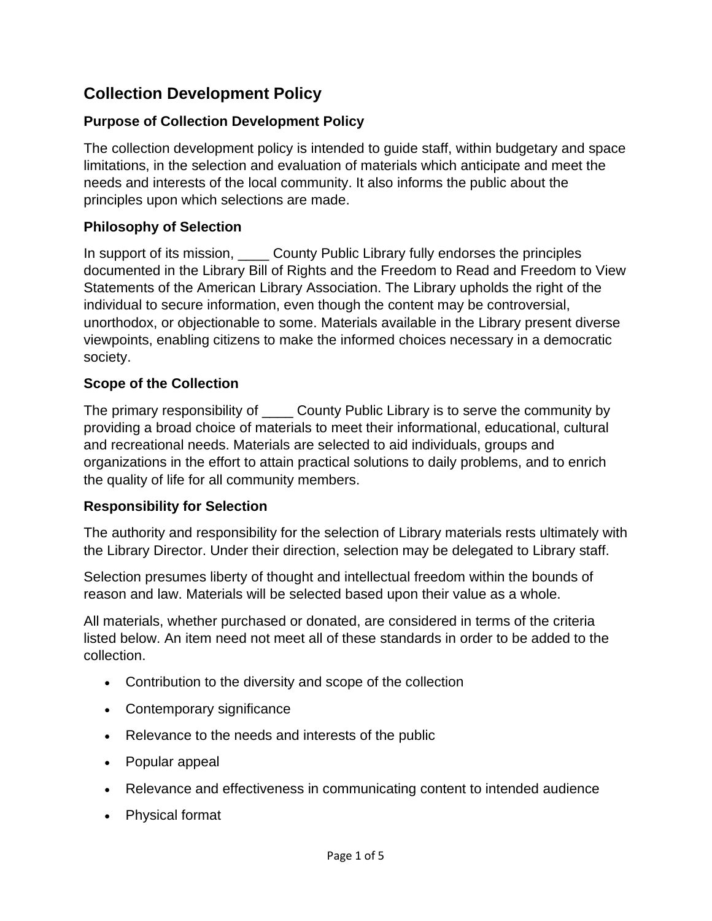# **Collection Development Policy**

# **Purpose of Collection Development Policy**

The collection development policy is intended to guide staff, within budgetary and space limitations, in the selection and evaluation of materials which anticipate and meet the needs and interests of the local community. It also informs the public about the principles upon which selections are made.

#### **Philosophy of Selection**

In support of its mission, County Public Library fully endorses the principles documented in the Library Bill of Rights and the Freedom to Read and Freedom to View Statements of the American Library Association. The Library upholds the right of the individual to secure information, even though the content may be controversial, unorthodox, or objectionable to some. Materials available in the Library present diverse viewpoints, enabling citizens to make the informed choices necessary in a democratic society.

#### **Scope of the Collection**

The primary responsibility of \_\_\_\_\_ County Public Library is to serve the community by providing a broad choice of materials to meet their informational, educational, cultural and recreational needs. Materials are selected to aid individuals, groups and organizations in the effort to attain practical solutions to daily problems, and to enrich the quality of life for all community members.

#### **Responsibility for Selection**

The authority and responsibility for the selection of Library materials rests ultimately with the Library Director. Under their direction, selection may be delegated to Library staff.

Selection presumes liberty of thought and intellectual freedom within the bounds of reason and law. Materials will be selected based upon their value as a whole.

All materials, whether purchased or donated, are considered in terms of the criteria listed below. An item need not meet all of these standards in order to be added to the collection.

- Contribution to the diversity and scope of the collection
- Contemporary significance
- Relevance to the needs and interests of the public
- Popular appeal
- Relevance and effectiveness in communicating content to intended audience
- Physical format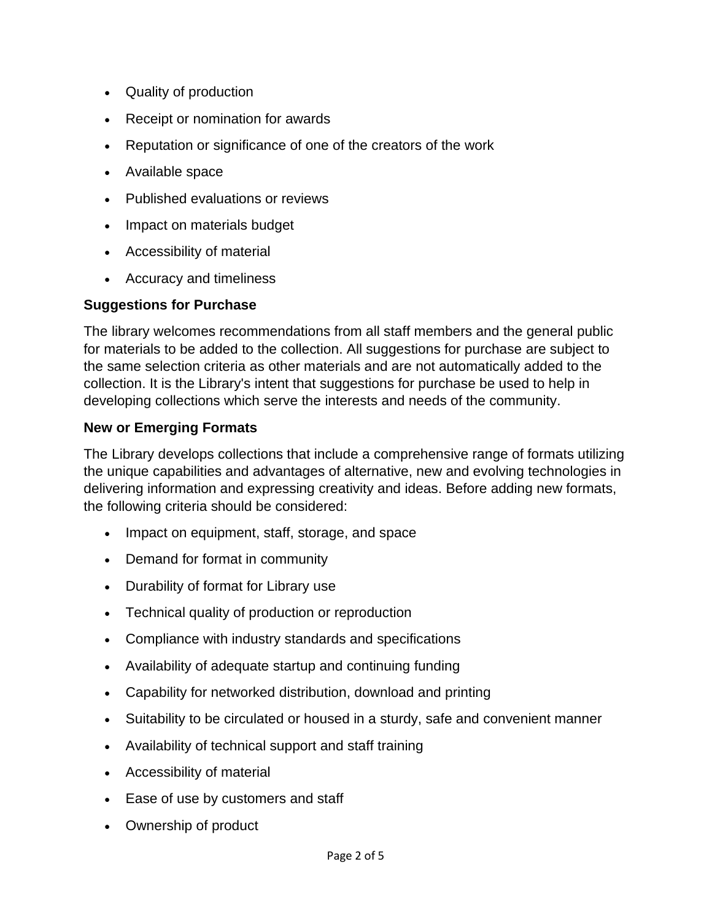- Quality of production
- Receipt or nomination for awards
- Reputation or significance of one of the creators of the work
- Available space
- Published evaluations or reviews
- Impact on materials budget
- Accessibility of material
- Accuracy and timeliness

#### **Suggestions for Purchase**

The library welcomes recommendations from all staff members and the general public for materials to be added to the collection. All suggestions for purchase are subject to the same selection criteria as other materials and are not automatically added to the collection. It is the Library's intent that suggestions for purchase be used to help in developing collections which serve the interests and needs of the community.

#### **New or Emerging Formats**

The Library develops collections that include a comprehensive range of formats utilizing the unique capabilities and advantages of alternative, new and evolving technologies in delivering information and expressing creativity and ideas. Before adding new formats, the following criteria should be considered:

- Impact on equipment, staff, storage, and space
- Demand for format in community
- Durability of format for Library use
- Technical quality of production or reproduction
- Compliance with industry standards and specifications
- Availability of adequate startup and continuing funding
- Capability for networked distribution, download and printing
- Suitability to be circulated or housed in a sturdy, safe and convenient manner
- Availability of technical support and staff training
- Accessibility of material
- Ease of use by customers and staff
- Ownership of product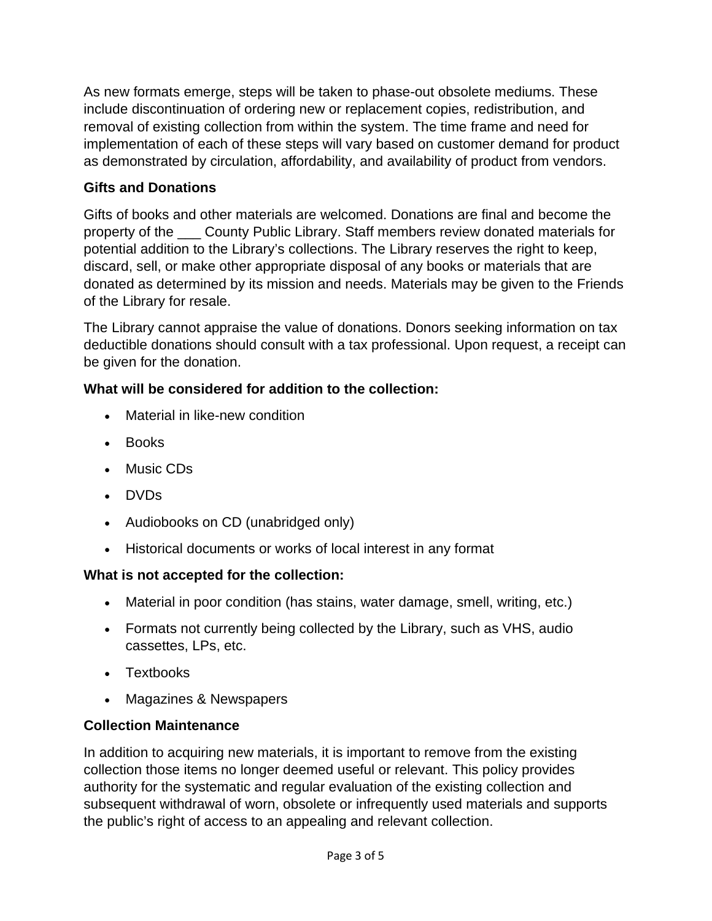As new formats emerge, steps will be taken to phase-out obsolete mediums. These include discontinuation of ordering new or replacement copies, redistribution, and removal of existing collection from within the system. The time frame and need for implementation of each of these steps will vary based on customer demand for product as demonstrated by circulation, affordability, and availability of product from vendors.

## **Gifts and Donations**

Gifts of books and other materials are welcomed. Donations are final and become the property of the \_\_\_ County Public Library. Staff members review donated materials for potential addition to the Library's collections. The Library reserves the right to keep, discard, sell, or make other appropriate disposal of any books or materials that are donated as determined by its mission and needs. Materials may be given to the Friends of the Library for resale.

The Library cannot appraise the value of donations. Donors seeking information on tax deductible donations should consult with a tax professional. Upon request, a receipt can be given for the donation.

### **What will be considered for addition to the collection:**

- Material in like-new condition
- Books
- Music CDs
- DVDs
- Audiobooks on CD (unabridged only)
- Historical documents or works of local interest in any format

### **What is not accepted for the collection:**

- Material in poor condition (has stains, water damage, smell, writing, etc.)
- Formats not currently being collected by the Library, such as VHS, audio cassettes, LPs, etc.
- Textbooks
- Magazines & Newspapers

### **Collection Maintenance**

In addition to acquiring new materials, it is important to remove from the existing collection those items no longer deemed useful or relevant. This policy provides authority for the systematic and regular evaluation of the existing collection and subsequent withdrawal of worn, obsolete or infrequently used materials and supports the public's right of access to an appealing and relevant collection.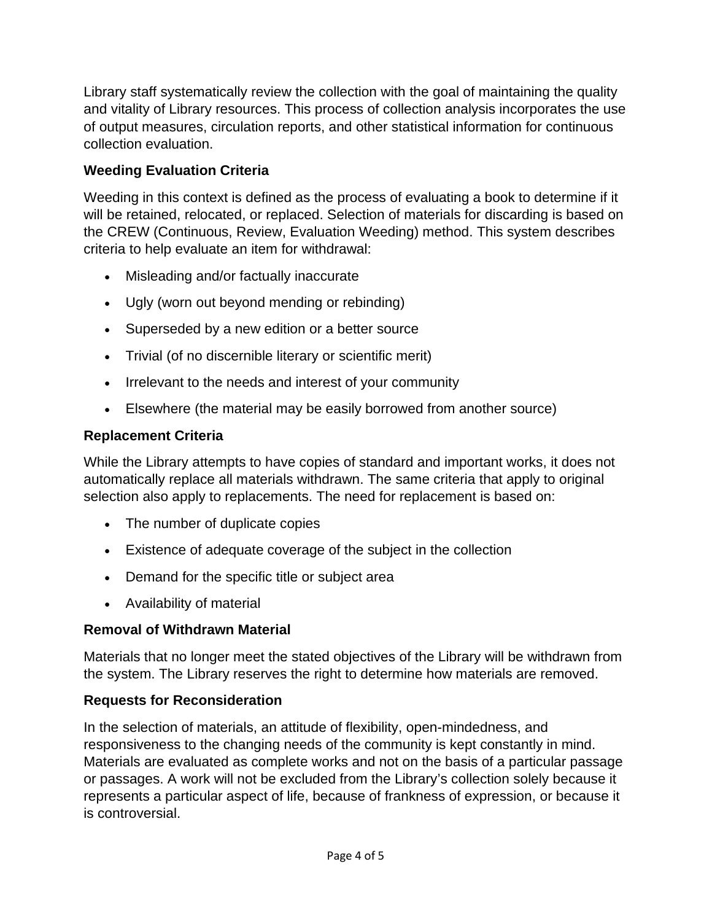Library staff systematically review the collection with the goal of maintaining the quality and vitality of Library resources. This process of collection analysis incorporates the use of output measures, circulation reports, and other statistical information for continuous collection evaluation.

# **Weeding Evaluation Criteria**

Weeding in this context is defined as the process of evaluating a book to determine if it will be retained, relocated, or replaced. Selection of materials for discarding is based on the CREW (Continuous, Review, Evaluation Weeding) method. This system describes criteria to help evaluate an item for withdrawal:

- Misleading and/or factually inaccurate
- Ugly (worn out beyond mending or rebinding)
- Superseded by a new edition or a better source
- Trivial (of no discernible literary or scientific merit)
- Irrelevant to the needs and interest of your community
- Elsewhere (the material may be easily borrowed from another source)

# **Replacement Criteria**

While the Library attempts to have copies of standard and important works, it does not automatically replace all materials withdrawn. The same criteria that apply to original selection also apply to replacements. The need for replacement is based on:

- The number of duplicate copies
- Existence of adequate coverage of the subject in the collection
- Demand for the specific title or subject area
- Availability of material

### **Removal of Withdrawn Material**

Materials that no longer meet the stated objectives of the Library will be withdrawn from the system. The Library reserves the right to determine how materials are removed.

### **Requests for Reconsideration**

In the selection of materials, an attitude of flexibility, open-mindedness, and responsiveness to the changing needs of the community is kept constantly in mind. Materials are evaluated as complete works and not on the basis of a particular passage or passages. A work will not be excluded from the Library's collection solely because it represents a particular aspect of life, because of frankness of expression, or because it is controversial.